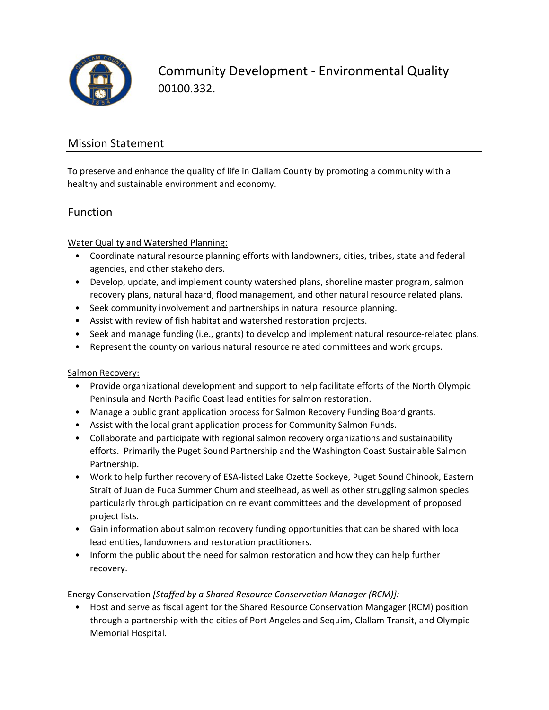

Community Development ‐ Environmental Quality 00100.332.

## Mission Statement

To preserve and enhance the quality of life in Clallam County by promoting a community with a healthy and sustainable environment and economy.

#### Function

Water Quality and Watershed Planning:

- Coordinate natural resource planning efforts with landowners, cities, tribes, state and federal agencies, and other stakeholders.
- Develop, update, and implement county watershed plans, shoreline master program, salmon recovery plans, natural hazard, flood management, and other natural resource related plans.
- Seek community involvement and partnerships in natural resource planning.
- Assist with review of fish habitat and watershed restoration projects.
- Seek and manage funding (i.e., grants) to develop and implement natural resource‐related plans.
- Represent the county on various natural resource related committees and work groups.

#### Salmon Recovery:

- Provide organizational development and support to help facilitate efforts of the North Olympic Peninsula and North Pacific Coast lead entities for salmon restoration.
- Manage a public grant application process for Salmon Recovery Funding Board grants.
- Assist with the local grant application process for Community Salmon Funds.
- Collaborate and participate with regional salmon recovery organizations and sustainability efforts. Primarily the Puget Sound Partnership and the Washington Coast Sustainable Salmon Partnership.
- Work to help further recovery of ESA‐listed Lake Ozette Sockeye, Puget Sound Chinook, Eastern Strait of Juan de Fuca Summer Chum and steelhead, as well as other struggling salmon species particularly through participation on relevant committees and the development of proposed project lists.
- Gain information about salmon recovery funding opportunities that can be shared with local lead entities, landowners and restoration practitioners.
- Inform the public about the need for salmon restoration and how they can help further recovery.

#### Energy Conservation *[Staffed by a Shared Resource Conservation Manager (RCM)]:*

• Host and serve as fiscal agent for the Shared Resource Conservation Mangager (RCM) position through a partnership with the cities of Port Angeles and Sequim, Clallam Transit, and Olympic Memorial Hospital.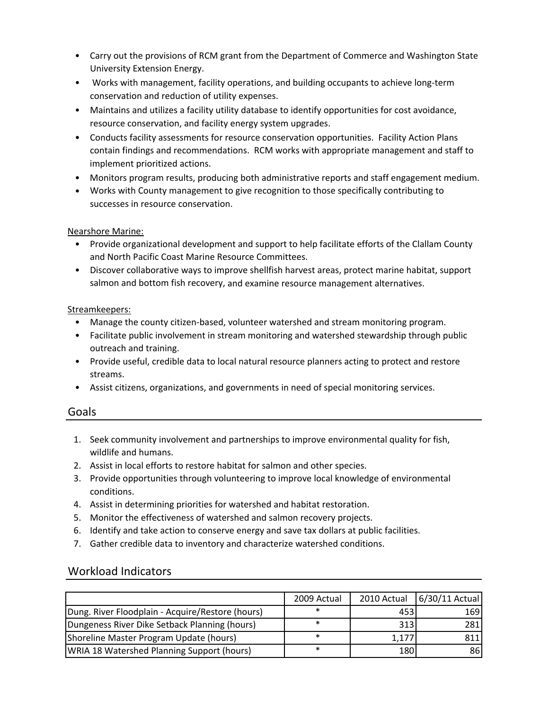- Carry out the provisions of RCM grant from the Department of Commerce and Washington State University Extension Energy.
- Works with management, facility operations, and building occupants to achieve long‐term conservation and reduction of utility expenses.
- Maintains and utilizes a facility utility database to identify opportunities for cost avoidance, resource conservation, and facility energy system upgrades.
- Conducts facility assessments for resource conservation opportunities. Facility Action Plans contain findings and recommendations. RCM works with appropriate management and staff to implement prioritized actions.
- Monitors program results, producing both administrative reports and staff engagement medium.
- Works with County management to give recognition to those specifically contributing to successes in resource conservation.

#### Nearshore Marine:

- Provide organizational development and support to help facilitate efforts of the Clallam County and North Pacific Coast Marine Resource Committees.
- Discover collaborative ways to improve shellfish harvest areas, protect marine habitat, support salmon and bottom fish recovery, and examine resource management alternatives.

#### Streamkeepers:

- Manage the county citizen‐based, volunteer watershed and stream monitoring program.
- Facilitate public involvement in stream monitoring and watershed stewardship through public outreach and training.
- Provide useful, credible data to local natural resource planners acting to protect and restore streams.
- Assist citizens, organizations, and governments in need of special monitoring services.

### Goals

- 1. Seek community involvement and partnerships to improve environmental quality for fish, wildlife and humans.
- 2. Assist in local efforts to restore habitat for salmon and other species.
- 3. Provide opportunities through volunteering to improve local knowledge of environmental conditions.
- 4. Assist in determining priorities for watershed and habitat restoration.
- 5. Monitor the effectiveness of watershed and salmon recovery projects.
- 6. Identify and take action to conserve energy and save tax dollars at public facilities.
- 7. Gather credible data to inventory and characterize watershed conditions.

|                                                   | 2009 Actual |       | 2010 Actual 6/30/11 Actual |
|---------------------------------------------------|-------------|-------|----------------------------|
| Dung. River Floodplain - Acquire/Restore (hours)  | $\ast$      | 453   | 169                        |
| Dungeness River Dike Setback Planning (hours)     | $\ast$      | 313   | 281                        |
| Shoreline Master Program Update (hours)           | $\ast$      | 1,177 | 811                        |
| <b>WRIA 18 Watershed Planning Support (hours)</b> | $\ast$      | 180   | 86                         |

## Workload Indicators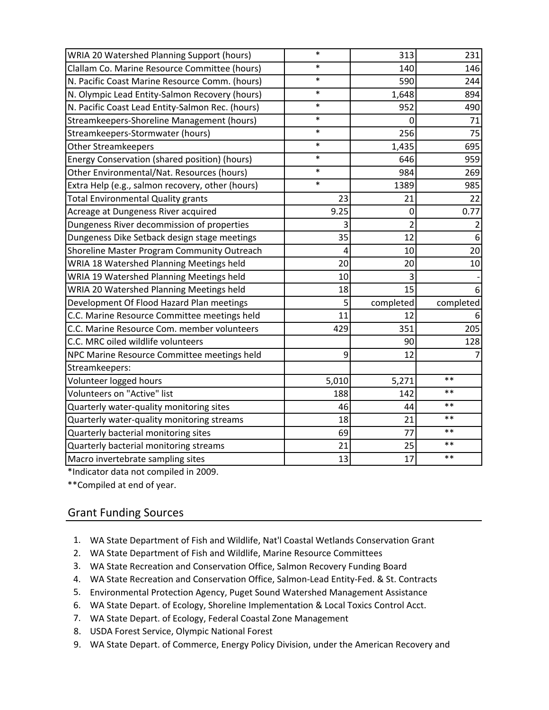| WRIA 20 Watershed Planning Support (hours)       | $\ast$ | 313            | 231            |
|--------------------------------------------------|--------|----------------|----------------|
| Clallam Co. Marine Resource Committee (hours)    | $\ast$ | 140            | 146            |
| N. Pacific Coast Marine Resource Comm. (hours)   | $\ast$ | 590            | 244            |
| N. Olympic Lead Entity-Salmon Recovery (hours)   | $\ast$ | 1,648          | 894            |
| N. Pacific Coast Lead Entity-Salmon Rec. (hours) | $\ast$ | 952            | 490            |
| Streamkeepers-Shoreline Management (hours)       | $\ast$ | 0              | 71             |
| Streamkeepers-Stormwater (hours)                 | $\ast$ | 256            | 75             |
| <b>Other Streamkeepers</b>                       | $\ast$ | 1,435          | 695            |
| Energy Conservation (shared position) (hours)    | $\ast$ | 646            | 959            |
| Other Environmental/Nat. Resources (hours)       | $\ast$ | 984            | 269            |
| Extra Help (e.g., salmon recovery, other (hours) | $\ast$ | 1389           | 985            |
| <b>Total Environmental Quality grants</b>        | 23     | 21             | 22             |
| Acreage at Dungeness River acquired              | 9.25   | 0              | 0.77           |
| Dungeness River decommission of properties       | 3      | $\overline{2}$ | $\overline{2}$ |
| Dungeness Dike Setback design stage meetings     | 35     | 12             | 6              |
| Shoreline Master Program Community Outreach      | 4      | 10             | 20             |
| WRIA 18 Watershed Planning Meetings held         | 20     | 20             | 10             |
| WRIA 19 Watershed Planning Meetings held         | 10     | 3              |                |
| WRIA 20 Watershed Planning Meetings held         | 18     | 15             | 6              |
| Development Of Flood Hazard Plan meetings        | 5      | completed      | completed      |
| C.C. Marine Resource Committee meetings held     | 11     | 12             |                |
| C.C. Marine Resource Com. member volunteers      | 429    | 351            | 205            |
| C.C. MRC oiled wildlife volunteers               |        | 90             | 128            |
| NPC Marine Resource Committee meetings held      | 9      | 12             |                |
| Streamkeepers:                                   |        |                |                |
| Volunteer logged hours                           | 5,010  | 5,271          | $* *$          |
| Volunteers on "Active" list                      | 188    | 142            | $***$          |
| Quarterly water-quality monitoring sites         | 46     | 44             | $***$          |
| Quarterly water-quality monitoring streams       | 18     | 21             | $* *$          |
| Quarterly bacterial monitoring sites             | 69     | 77             | $***$          |
| Quarterly bacterial monitoring streams           | 21     | 25             | $* *$          |
| Macro invertebrate sampling sites                | 13     | 17             | $**$           |

\*Indicator data not compiled in 2009.

\*\*Compiled at end of year.

# Grant Funding Sources

- 1. WA State Department of Fish and Wildlife, Nat'l Coastal Wetlands Conservation Grant
- 2. WA State Department of Fish and Wildlife, Marine Resource Committees
- 3. WA State Recreation and Conservation Office, Salmon Recovery Funding Board
- 4. WA State Recreation and Conservation Office, Salmon‐Lead Entity‐Fed. & St. Contracts
- 5. Environmental Protection Agency, Puget Sound Watershed Management Assistance
- 6. WA State Depart. of Ecology, Shoreline Implementation & Local Toxics Control Acct.
- 7. WA State Depart. of Ecology, Federal Coastal Zone Management
- 8. USDA Forest Service, Olympic National Forest
- 9. WA State Depart. of Commerce, Energy Policy Division, under the American Recovery and